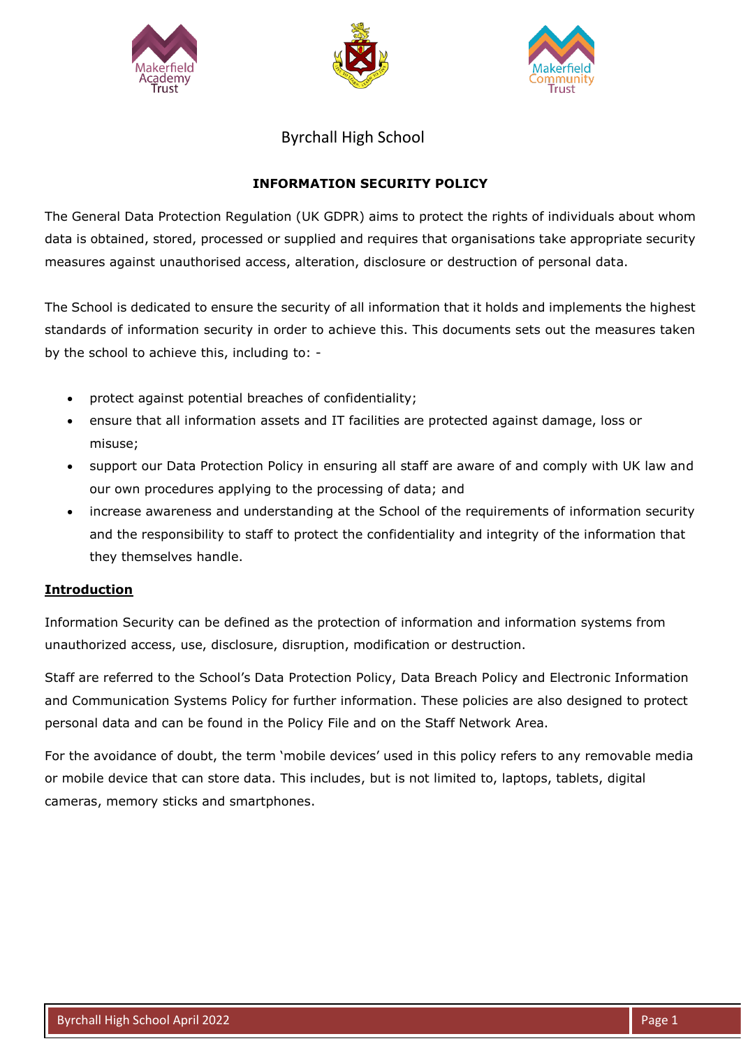





Byrchall High School

# **INFORMATION SECURITY POLICY**

The General Data Protection Regulation (UK GDPR) aims to protect the rights of individuals about whom data is obtained, stored, processed or supplied and requires that organisations take appropriate security measures against unauthorised access, alteration, disclosure or destruction of personal data.

The School is dedicated to ensure the security of all information that it holds and implements the highest standards of information security in order to achieve this. This documents sets out the measures taken by the school to achieve this, including to: -

- protect against potential breaches of confidentiality;
- ensure that all information assets and IT facilities are protected against damage, loss or misuse;
- support our Data Protection Policy in ensuring all staff are aware of and comply with UK law and our own procedures applying to the processing of data; and
- increase awareness and understanding at the School of the requirements of information security and the responsibility to staff to protect the confidentiality and integrity of the information that they themselves handle.

## **Introduction**

Information Security can be defined as the protection of information and information systems from unauthorized access, use, disclosure, disruption, modification or destruction.

Staff are referred to the School's Data Protection Policy, Data Breach Policy and Electronic Information and Communication Systems Policy for further information. These policies are also designed to protect personal data and can be found in the Policy File and on the Staff Network Area.

For the avoidance of doubt, the term 'mobile devices' used in this policy refers to any removable media or mobile device that can store data. This includes, but is not limited to, laptops, tablets, digital cameras, memory sticks and smartphones.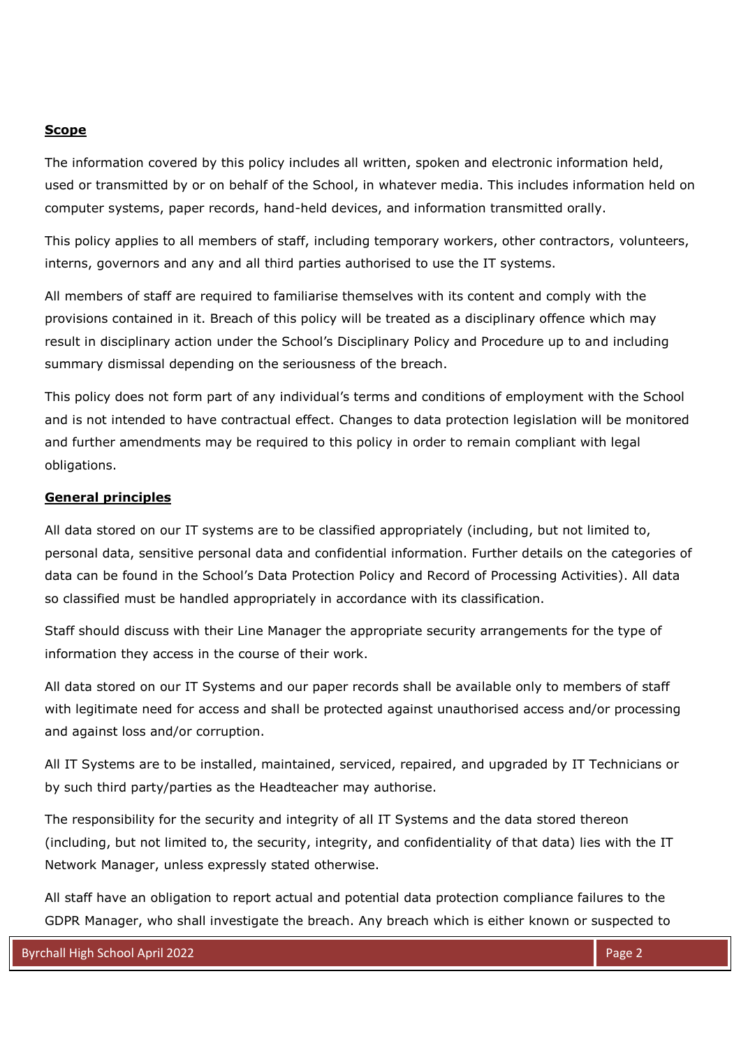### **Scope**

The information covered by this policy includes all written, spoken and electronic information held, used or transmitted by or on behalf of the School, in whatever media. This includes information held on computer systems, paper records, hand-held devices, and information transmitted orally.

This policy applies to all members of staff, including temporary workers, other contractors, volunteers, interns, governors and any and all third parties authorised to use the IT systems.

All members of staff are required to familiarise themselves with its content and comply with the provisions contained in it. Breach of this policy will be treated as a disciplinary offence which may result in disciplinary action under the School's Disciplinary Policy and Procedure up to and including summary dismissal depending on the seriousness of the breach.

This policy does not form part of any individual's terms and conditions of employment with the School and is not intended to have contractual effect. Changes to data protection legislation will be monitored and further amendments may be required to this policy in order to remain compliant with legal obligations.

### **General principles**

All data stored on our IT systems are to be classified appropriately (including, but not limited to, personal data, sensitive personal data and confidential information. Further details on the categories of data can be found in the School's Data Protection Policy and Record of Processing Activities). All data so classified must be handled appropriately in accordance with its classification.

Staff should discuss with their Line Manager the appropriate security arrangements for the type of information they access in the course of their work.

All data stored on our IT Systems and our paper records shall be available only to members of staff with legitimate need for access and shall be protected against unauthorised access and/or processing and against loss and/or corruption.

All IT Systems are to be installed, maintained, serviced, repaired, and upgraded by IT Technicians or by such third party/parties as the Headteacher may authorise.

The responsibility for the security and integrity of all IT Systems and the data stored thereon (including, but not limited to, the security, integrity, and confidentiality of that data) lies with the IT Network Manager, unless expressly stated otherwise.

All staff have an obligation to report actual and potential data protection compliance failures to the GDPR Manager, who shall investigate the breach. Any breach which is either known or suspected to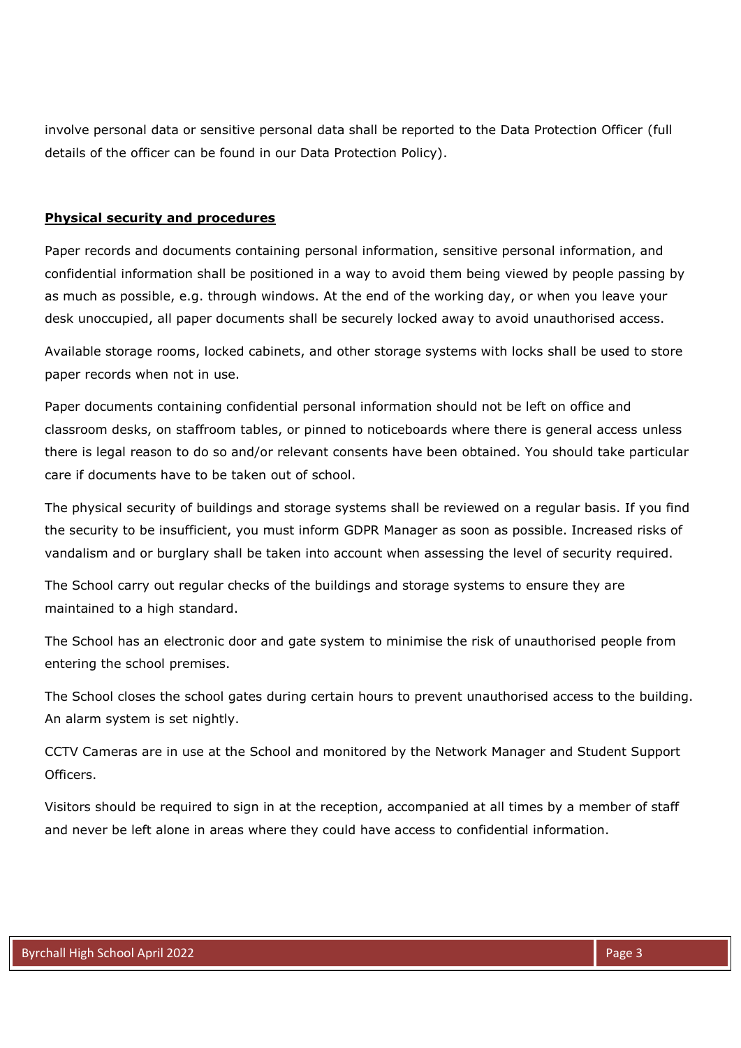involve personal data or sensitive personal data shall be reported to the Data Protection Officer (full details of the officer can be found in our Data Protection Policy).

### **Physical security and procedures**

Paper records and documents containing personal information, sensitive personal information, and confidential information shall be positioned in a way to avoid them being viewed by people passing by as much as possible, e.g. through windows. At the end of the working day, or when you leave your desk unoccupied, all paper documents shall be securely locked away to avoid unauthorised access.

Available storage rooms, locked cabinets, and other storage systems with locks shall be used to store paper records when not in use.

Paper documents containing confidential personal information should not be left on office and classroom desks, on staffroom tables, or pinned to noticeboards where there is general access unless there is legal reason to do so and/or relevant consents have been obtained. You should take particular care if documents have to be taken out of school.

The physical security of buildings and storage systems shall be reviewed on a regular basis. If you find the security to be insufficient, you must inform GDPR Manager as soon as possible. Increased risks of vandalism and or burglary shall be taken into account when assessing the level of security required.

The School carry out regular checks of the buildings and storage systems to ensure they are maintained to a high standard.

The School has an electronic door and gate system to minimise the risk of unauthorised people from entering the school premises.

The School closes the school gates during certain hours to prevent unauthorised access to the building. An alarm system is set nightly.

CCTV Cameras are in use at the School and monitored by the Network Manager and Student Support Officers.

Visitors should be required to sign in at the reception, accompanied at all times by a member of staff and never be left alone in areas where they could have access to confidential information.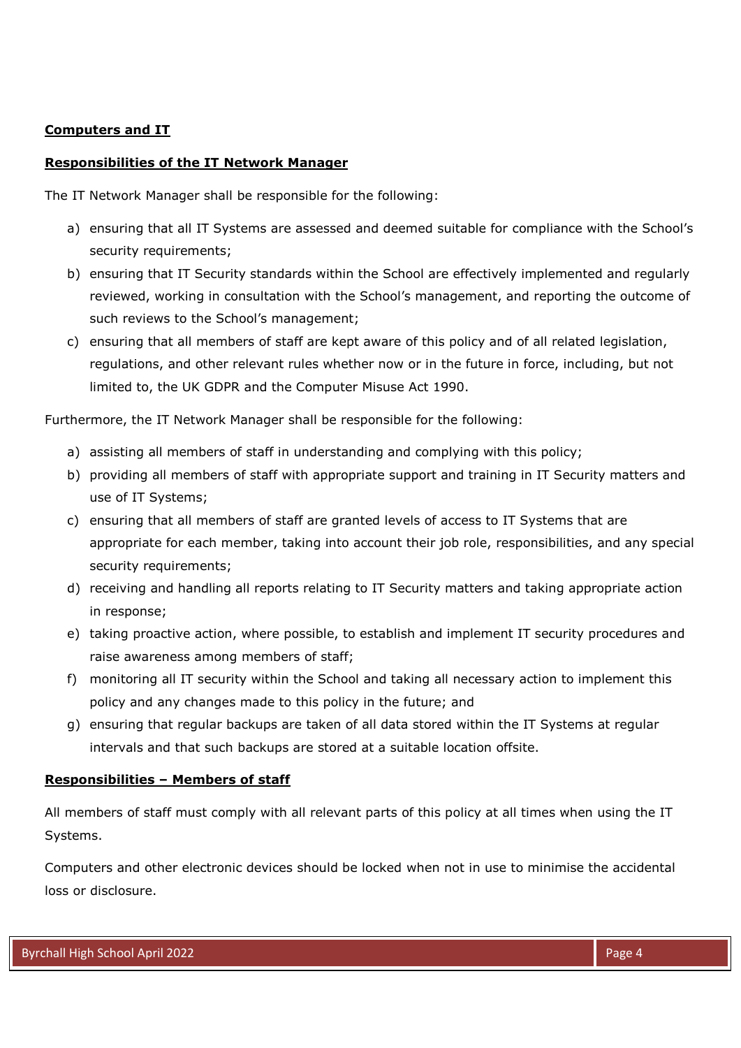### **Computers and IT**

### **Responsibilities of the IT Network Manager**

The IT Network Manager shall be responsible for the following:

- a) ensuring that all IT Systems are assessed and deemed suitable for compliance with the School's security requirements;
- b) ensuring that IT Security standards within the School are effectively implemented and regularly reviewed, working in consultation with the School's management, and reporting the outcome of such reviews to the School's management;
- c) ensuring that all members of staff are kept aware of this policy and of all related legislation, regulations, and other relevant rules whether now or in the future in force, including, but not limited to, the UK GDPR and the Computer Misuse Act 1990.

Furthermore, the IT Network Manager shall be responsible for the following:

- a) assisting all members of staff in understanding and complying with this policy;
- b) providing all members of staff with appropriate support and training in IT Security matters and use of IT Systems;
- c) ensuring that all members of staff are granted levels of access to IT Systems that are appropriate for each member, taking into account their job role, responsibilities, and any special security requirements;
- d) receiving and handling all reports relating to IT Security matters and taking appropriate action in response;
- e) taking proactive action, where possible, to establish and implement IT security procedures and raise awareness among members of staff;
- f) monitoring all IT security within the School and taking all necessary action to implement this policy and any changes made to this policy in the future; and
- g) ensuring that regular backups are taken of all data stored within the IT Systems at regular intervals and that such backups are stored at a suitable location offsite.

### **Responsibilities – Members of staff**

All members of staff must comply with all relevant parts of this policy at all times when using the IT Systems.

Computers and other electronic devices should be locked when not in use to minimise the accidental loss or disclosure.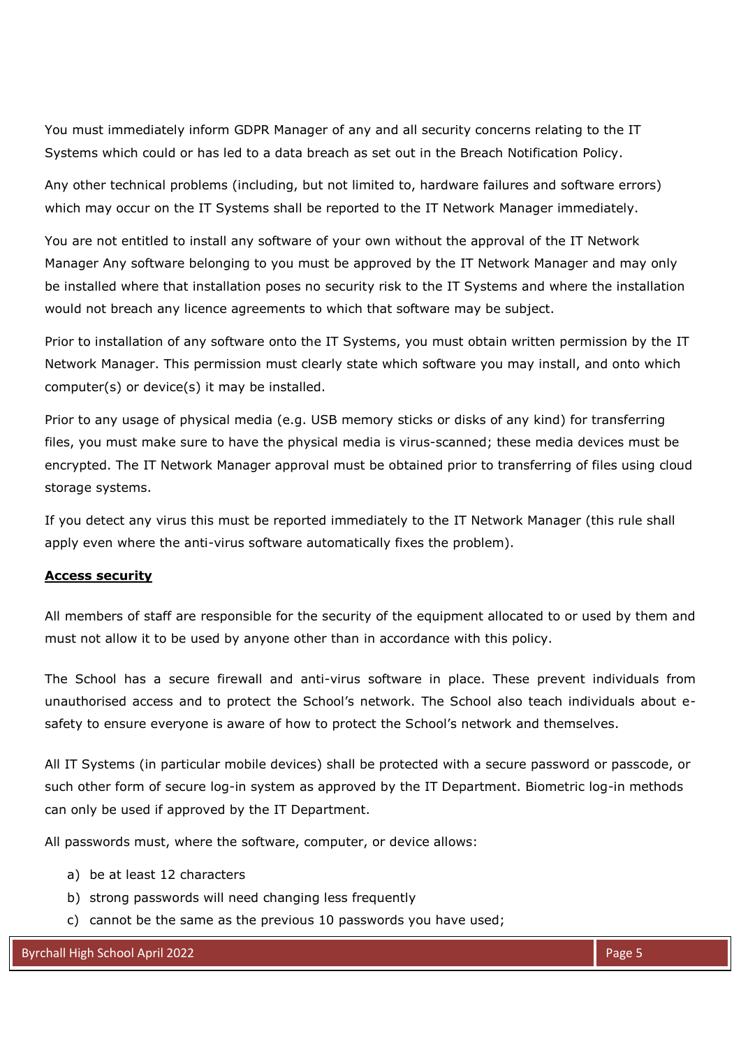You must immediately inform GDPR Manager of any and all security concerns relating to the IT Systems which could or has led to a data breach as set out in the Breach Notification Policy.

Any other technical problems (including, but not limited to, hardware failures and software errors) which may occur on the IT Systems shall be reported to the IT Network Manager immediately.

You are not entitled to install any software of your own without the approval of the IT Network Manager Any software belonging to you must be approved by the IT Network Manager and may only be installed where that installation poses no security risk to the IT Systems and where the installation would not breach any licence agreements to which that software may be subject.

Prior to installation of any software onto the IT Systems, you must obtain written permission by the IT Network Manager. This permission must clearly state which software you may install, and onto which computer(s) or device(s) it may be installed.

Prior to any usage of physical media (e.g. USB memory sticks or disks of any kind) for transferring files, you must make sure to have the physical media is virus-scanned; these media devices must be encrypted. The IT Network Manager approval must be obtained prior to transferring of files using cloud storage systems.

If you detect any virus this must be reported immediately to the IT Network Manager (this rule shall apply even where the anti-virus software automatically fixes the problem).

### **Access security**

All members of staff are responsible for the security of the equipment allocated to or used by them and must not allow it to be used by anyone other than in accordance with this policy.

The School has a secure firewall and anti-virus software in place. These prevent individuals from unauthorised access and to protect the School's network. The School also teach individuals about esafety to ensure everyone is aware of how to protect the School's network and themselves.

All IT Systems (in particular mobile devices) shall be protected with a secure password or passcode, or such other form of secure log-in system as approved by the IT Department. Biometric log-in methods can only be used if approved by the IT Department.

All passwords must, where the software, computer, or device allows:

- a) be at least 12 characters
- b) strong passwords will need changing less frequently
- c) cannot be the same as the previous 10 passwords you have used;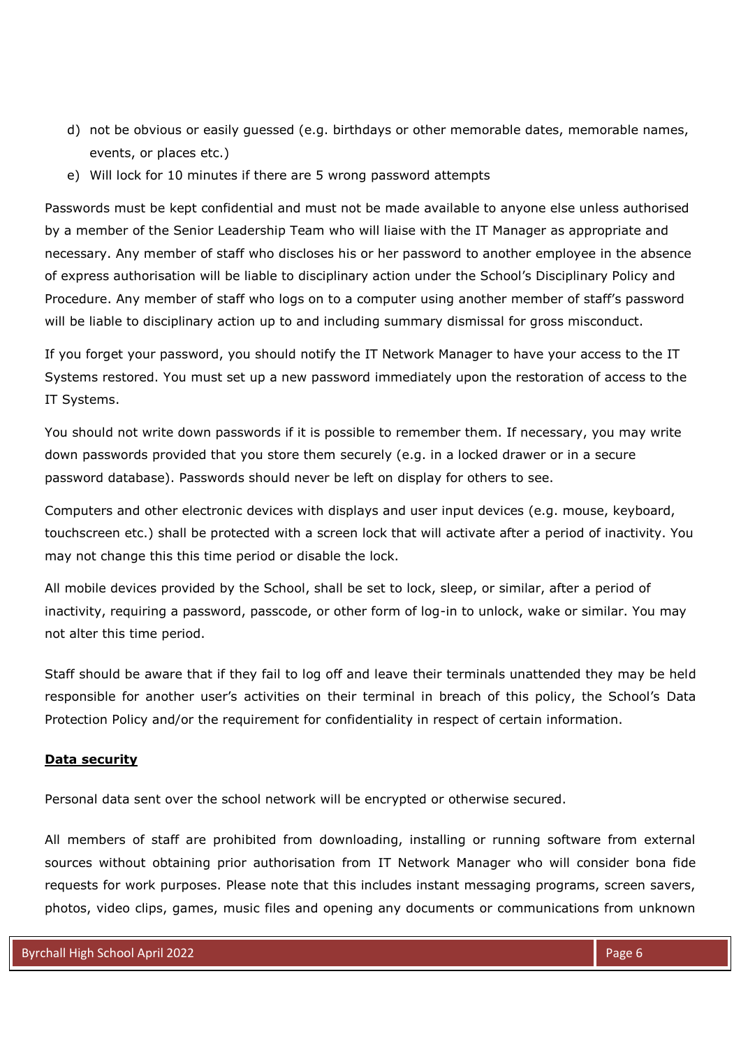- d) not be obvious or easily guessed (e.g. birthdays or other memorable dates, memorable names, events, or places etc.)
- e) Will lock for 10 minutes if there are 5 wrong password attempts

Passwords must be kept confidential and must not be made available to anyone else unless authorised by a member of the Senior Leadership Team who will liaise with the IT Manager as appropriate and necessary. Any member of staff who discloses his or her password to another employee in the absence of express authorisation will be liable to disciplinary action under the School's Disciplinary Policy and Procedure. Any member of staff who logs on to a computer using another member of staff's password will be liable to disciplinary action up to and including summary dismissal for gross misconduct.

If you forget your password, you should notify the IT Network Manager to have your access to the IT Systems restored. You must set up a new password immediately upon the restoration of access to the IT Systems.

You should not write down passwords if it is possible to remember them. If necessary, you may write down passwords provided that you store them securely (e.g. in a locked drawer or in a secure password database). Passwords should never be left on display for others to see.

Computers and other electronic devices with displays and user input devices (e.g. mouse, keyboard, touchscreen etc.) shall be protected with a screen lock that will activate after a period of inactivity. You may not change this this time period or disable the lock.

All mobile devices provided by the School, shall be set to lock, sleep, or similar, after a period of inactivity, requiring a password, passcode, or other form of log-in to unlock, wake or similar. You may not alter this time period.

Staff should be aware that if they fail to log off and leave their terminals unattended they may be held responsible for another user's activities on their terminal in breach of this policy, the School's Data Protection Policy and/or the requirement for confidentiality in respect of certain information.

### **Data security**

Personal data sent over the school network will be encrypted or otherwise secured.

All members of staff are prohibited from downloading, installing or running software from external sources without obtaining prior authorisation from IT Network Manager who will consider bona fide requests for work purposes. Please note that this includes instant messaging programs, screen savers, photos, video clips, games, music files and opening any documents or communications from unknown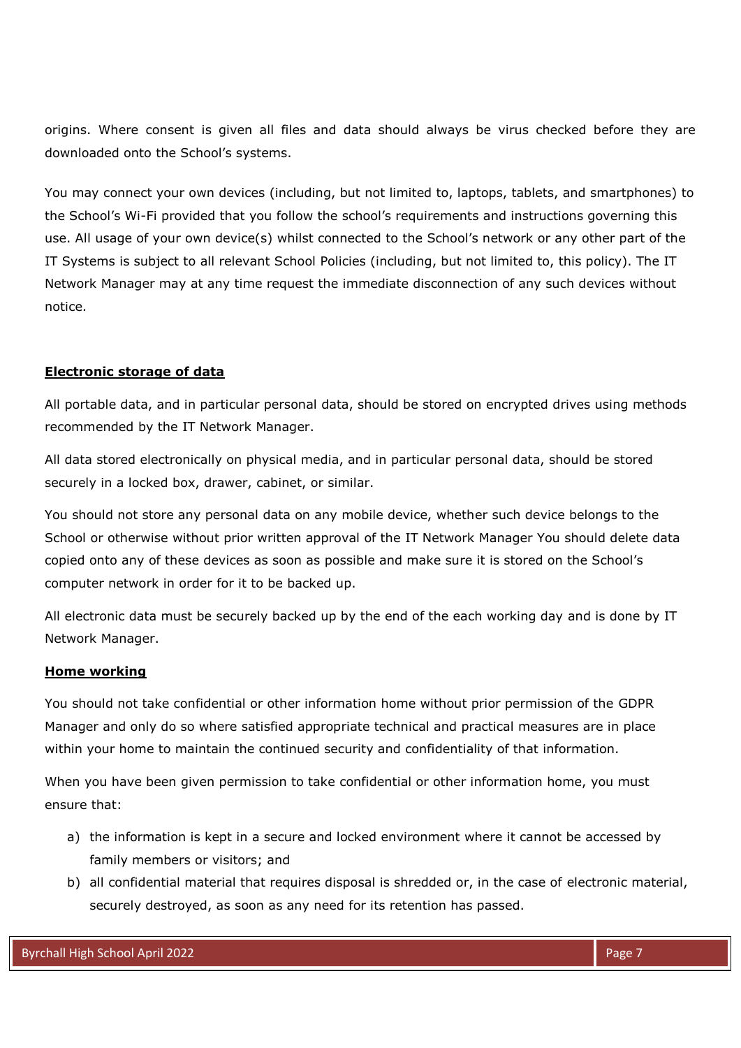origins. Where consent is given all files and data should always be virus checked before they are downloaded onto the School's systems.

You may connect your own devices (including, but not limited to, laptops, tablets, and smartphones) to the School's Wi-Fi provided that you follow the school's requirements and instructions governing this use. All usage of your own device(s) whilst connected to the School's network or any other part of the IT Systems is subject to all relevant School Policies (including, but not limited to, this policy). The IT Network Manager may at any time request the immediate disconnection of any such devices without notice.

### **Electronic storage of data**

All portable data, and in particular personal data, should be stored on encrypted drives using methods recommended by the IT Network Manager.

All data stored electronically on physical media, and in particular personal data, should be stored securely in a locked box, drawer, cabinet, or similar.

You should not store any personal data on any mobile device, whether such device belongs to the School or otherwise without prior written approval of the IT Network Manager You should delete data copied onto any of these devices as soon as possible and make sure it is stored on the School's computer network in order for it to be backed up.

All electronic data must be securely backed up by the end of the each working day and is done by IT Network Manager.

### **Home working**

You should not take confidential or other information home without prior permission of the GDPR Manager and only do so where satisfied appropriate technical and practical measures are in place within your home to maintain the continued security and confidentiality of that information.

When you have been given permission to take confidential or other information home, you must ensure that:

- a) the information is kept in a secure and locked environment where it cannot be accessed by family members or visitors; and
- b) all confidential material that requires disposal is shredded or, in the case of electronic material, securely destroyed, as soon as any need for its retention has passed.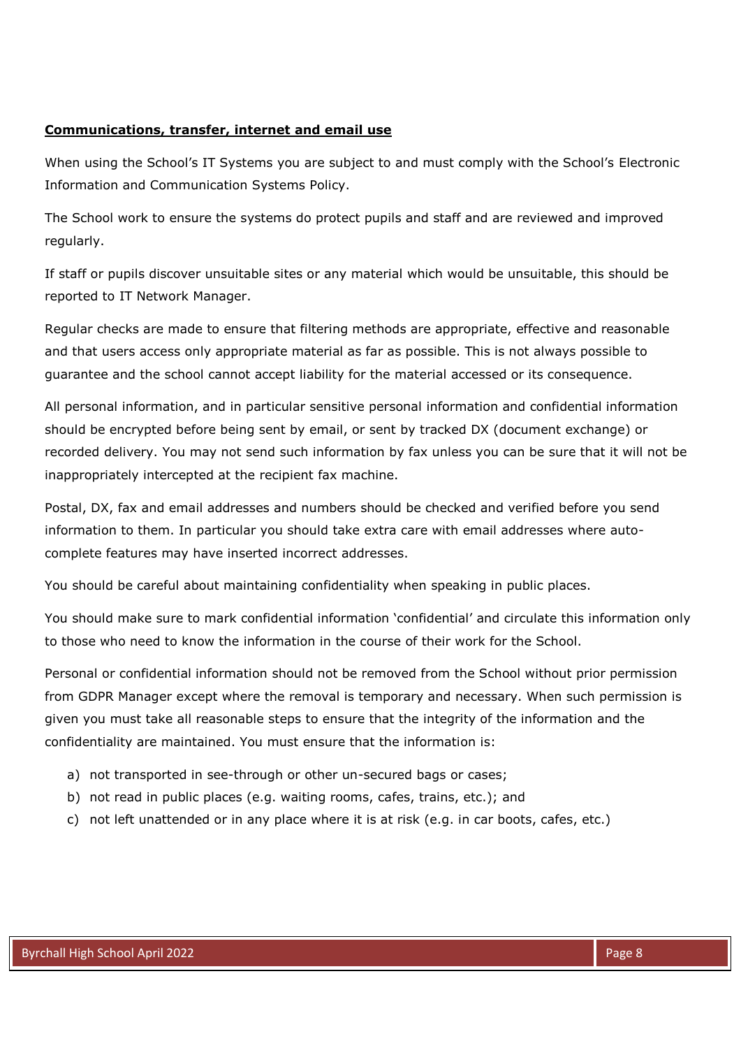### **Communications, transfer, internet and email use**

When using the School's IT Systems you are subject to and must comply with the School's Electronic Information and Communication Systems Policy.

The School work to ensure the systems do protect pupils and staff and are reviewed and improved regularly.

If staff or pupils discover unsuitable sites or any material which would be unsuitable, this should be reported to IT Network Manager.

Regular checks are made to ensure that filtering methods are appropriate, effective and reasonable and that users access only appropriate material as far as possible. This is not always possible to guarantee and the school cannot accept liability for the material accessed or its consequence.

All personal information, and in particular sensitive personal information and confidential information should be encrypted before being sent by email, or sent by tracked DX (document exchange) or recorded delivery. You may not send such information by fax unless you can be sure that it will not be inappropriately intercepted at the recipient fax machine.

Postal, DX, fax and email addresses and numbers should be checked and verified before you send information to them. In particular you should take extra care with email addresses where autocomplete features may have inserted incorrect addresses.

You should be careful about maintaining confidentiality when speaking in public places.

You should make sure to mark confidential information 'confidential' and circulate this information only to those who need to know the information in the course of their work for the School.

Personal or confidential information should not be removed from the School without prior permission from GDPR Manager except where the removal is temporary and necessary. When such permission is given you must take all reasonable steps to ensure that the integrity of the information and the confidentiality are maintained. You must ensure that the information is:

- a) not transported in see-through or other un-secured bags or cases;
- b) not read in public places (e.g. waiting rooms, cafes, trains, etc.); and
- c) not left unattended or in any place where it is at risk (e.g. in car boots, cafes, etc.)